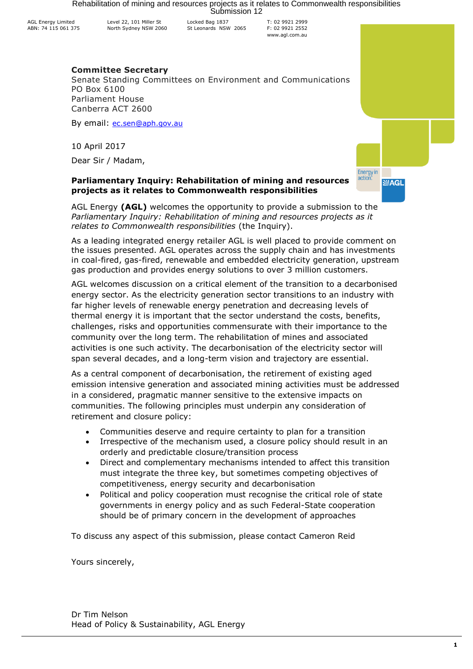Rehabilitation of mining and resources projects as it relates to Commonwealth responsibilities<br>Submission 12

AGL Energy Limited ABN: 74 115 061 375

Level 22, 101 Miller St North Sydney NSW 2060

Locked Bag 1837 St Leonards NSW 2065 T: 02 9921 2999 F: 02 9921 2552 www.agl.com.au

# **Committee Secretary**

Senate Standing Committees on Environment and Communications PO Box 6100 Parliament House Canberra ACT 2600

By email: [ec.sen@aph.gov.au](mailto:ec.sen@aph.gov.au)

10 April 2017

Dear Sir / Madam,

# **Parliamentary Inquiry: Rehabilitation of mining and resources projects as it relates to Commonwealth responsibilities**



AGL Energy **(AGL)** welcomes the opportunity to provide a submission to the *Parliamentary Inquiry: Rehabilitation of mining and resources projects as it relates to Commonwealth responsibilities* (the Inquiry).

As a leading integrated energy retailer AGL is well placed to provide comment on the issues presented. AGL operates across the supply chain and has investments in coal-fired, gas-fired, renewable and embedded electricity generation, upstream gas production and provides energy solutions to over 3 million customers.

AGL welcomes discussion on a critical element of the transition to a decarbonised energy sector. As the electricity generation sector transitions to an industry with far higher levels of renewable energy penetration and decreasing levels of thermal energy it is important that the sector understand the costs, benefits, challenges, risks and opportunities commensurate with their importance to the community over the long term. The rehabilitation of mines and associated activities is one such activity. The decarbonisation of the electricity sector will span several decades, and a long-term vision and trajectory are essential.

As a central component of decarbonisation, the retirement of existing aged emission intensive generation and associated mining activities must be addressed in a considered, pragmatic manner sensitive to the extensive impacts on communities. The following principles must underpin any consideration of retirement and closure policy:

- Communities deserve and require certainty to plan for a transition
- Irrespective of the mechanism used, a closure policy should result in an orderly and predictable closure/transition process
- Direct and complementary mechanisms intended to affect this transition must integrate the three key, but sometimes competing objectives of competitiveness, energy security and decarbonisation
- Political and policy cooperation must recognise the critical role of state governments in energy policy and as such Federal-State cooperation should be of primary concern in the development of approaches

To discuss any aspect of this submission, please contact Cameron Reid

Yours sincerely,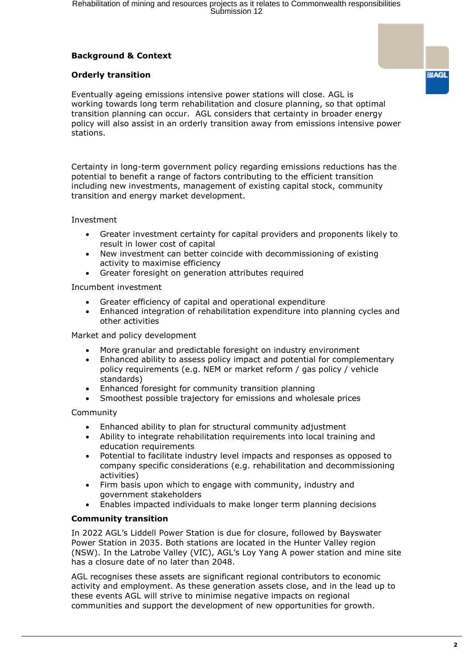# **Background & Context**

# **Orderly transition**

**SAGL** Eventually ageing emissions intensive power stations will close. AGL is working towards long term rehabilitation and closure planning, so that optimal transition planning can occur. AGL considers that certainty in broader energy

Certainty in long-term government policy regarding emissions reductions has the potential to benefit a range of factors contributing to the efficient transition including new investments, management of existing capital stock, community transition and energy market development.

policy will also assist in an orderly transition away from emissions intensive power

### Investment

stations.

- Greater investment certainty for capital providers and proponents likely to result in lower cost of capital
- New investment can better coincide with decommissioning of existing activity to maximise efficiency
- Greater foresight on generation attributes required

Incumbent investment

- Greater efficiency of capital and operational expenditure
- Enhanced integration of rehabilitation expenditure into planning cycles and other activities

Market and policy development

- More granular and predictable foresight on industry environment
- Enhanced ability to assess policy impact and potential for complementary policy requirements (e.g. NEM or market reform / gas policy / vehicle standards)
- Enhanced foresight for community transition planning
- Smoothest possible trajectory for emissions and wholesale prices

Community

- Enhanced ability to plan for structural community adjustment
- Ability to integrate rehabilitation requirements into local training and education requirements
- Potential to facilitate industry level impacts and responses as opposed to company specific considerations (e.g. rehabilitation and decommissioning activities)
- Firm basis upon which to engage with community, industry and government stakeholders
- Enables impacted individuals to make longer term planning decisions

# **Community transition**

In 2022 AGL's Liddell Power Station is due for closure, followed by Bayswater Power Station in 2035. Both stations are located in the Hunter Valley region (NSW). In the Latrobe Valley (VIC), AGL's Loy Yang A power station and mine site has a closure date of no later than 2048.

AGL recognises these assets are significant regional contributors to economic activity and employment. As these generation assets close, and in the lead up to these events AGL will strive to minimise negative impacts on regional communities and support the development of new opportunities for growth.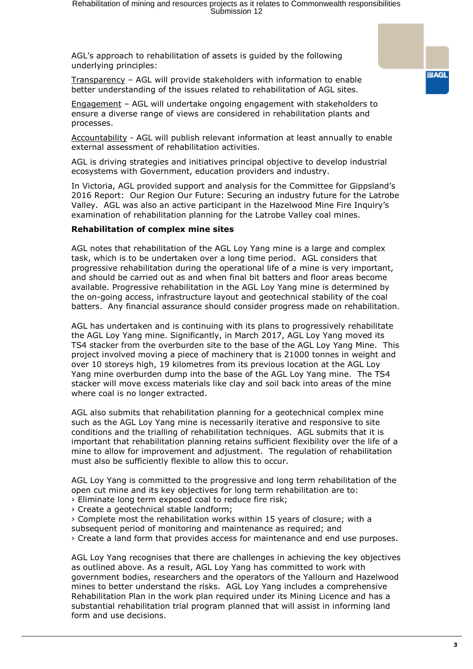AGL's approach to rehabilitation of assets is guided by the following underlying principles:

Transparency – AGL will provide stakeholders with information to enable better understanding of the issues related to rehabilitation of AGL sites.

Engagement – AGL will undertake ongoing engagement with stakeholders to ensure a diverse range of views are considered in rehabilitation plants and processes.

Accountability - AGL will publish relevant information at least annually to enable external assessment of rehabilitation activities.

AGL is driving strategies and initiatives principal objective to develop industrial ecosystems with Government, education providers and industry.

In Victoria, AGL provided support and analysis for the Committee for Gippsland's 2016 Report: Our Region Our Future: Securing an industry future for the Latrobe Valley. AGL was also an active participant in the Hazelwood Mine Fire Inquiry's examination of rehabilitation planning for the Latrobe Valley coal mines.

#### **Rehabilitation of complex mine sites**

AGL notes that rehabilitation of the AGL Loy Yang mine is a large and complex task, which is to be undertaken over a long time period. AGL considers that progressive rehabilitation during the operational life of a mine is very important, and should be carried out as and when final bit batters and floor areas become available. Progressive rehabilitation in the AGL Loy Yang mine is determined by the on-going access, infrastructure layout and geotechnical stability of the coal batters. Any financial assurance should consider progress made on rehabilitation.

AGL has undertaken and is continuing with its plans to progressively rehabilitate the AGL Loy Yang mine. Significantly, in March 2017, AGL Loy Yang moved its TS4 stacker from the overburden site to the base of the AGL Loy Yang Mine. This project involved moving a piece of machinery that is 21000 tonnes in weight and over 10 storeys high, 19 kilometres from its previous location at the AGL Loy Yang mine overburden dump into the base of the AGL Loy Yang mine. The TS4 stacker will move excess materials like clay and soil back into areas of the mine where coal is no longer extracted.

AGL also submits that rehabilitation planning for a geotechnical complex mine such as the AGL Loy Yang mine is necessarily iterative and responsive to site conditions and the trialling of rehabilitation techniques. AGL submits that it is important that rehabilitation planning retains sufficient flexibility over the life of a mine to allow for improvement and adjustment. The regulation of rehabilitation must also be sufficiently flexible to allow this to occur.

AGL Loy Yang is committed to the progressive and long term rehabilitation of the open cut mine and its key objectives for long term rehabilitation are to:

- › Eliminate long term exposed coal to reduce fire risk;
- › Create a geotechnical stable landform;

› Complete most the rehabilitation works within 15 years of closure; with a subsequent period of monitoring and maintenance as required; and

› Create a land form that provides access for maintenance and end use purposes.

AGL Loy Yang recognises that there are challenges in achieving the key objectives as outlined above. As a result, AGL Loy Yang has committed to work with government bodies, researchers and the operators of the Yallourn and Hazelwood mines to better understand the risks. AGL Loy Yang includes a comprehensive Rehabilitation Plan in the work plan required under its Mining Licence and has a substantial rehabilitation trial program planned that will assist in informing land form and use decisions.

**SAGL**